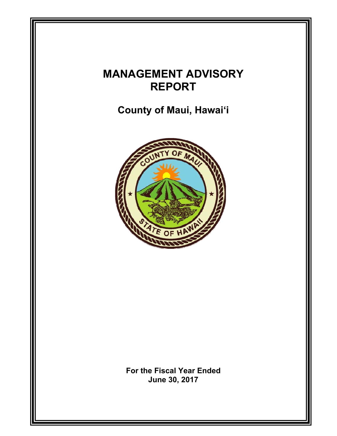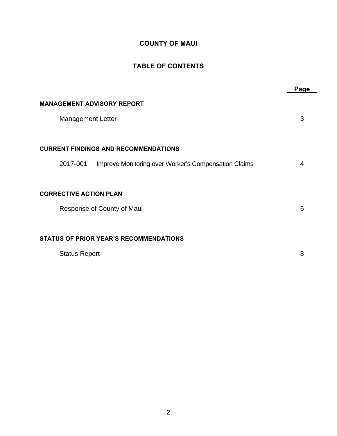## **COUNTY OF MAUI**

### **TABLE OF CONTENTS**

|                                                                                                                 | Page |
|-----------------------------------------------------------------------------------------------------------------|------|
| <b>MANAGEMENT ADVISORY REPORT</b><br><b>Management Letter</b>                                                   | 3    |
| <b>CURRENT FINDINGS AND RECOMMENDATIONS</b><br>2017-001<br>Improve Monitoring over Worker's Compensation Claims | 4    |
| <b>CORRECTIVE ACTION PLAN</b><br>Response of County of Maui                                                     | 6    |
| <b>STATUS OF PRIOR YEAR'S RECOMMENDATIONS</b><br><b>Status Report</b>                                           | 8    |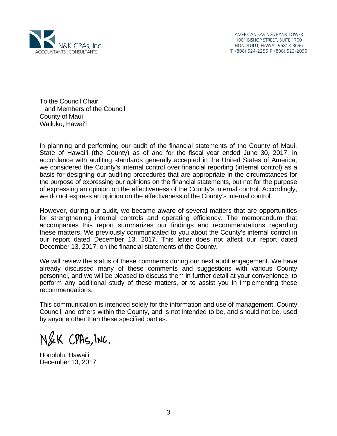

AMERICAN SAVINGS BANK TOWER 1001 BISHOP STREET, SUITE 1700 HONOLULU, HAWAII 96813-3696 T (808) 524-2255 F (808) 523-2090

To the Council Chair, and Members of the Council County of Maui Wailuku, Hawai'i

In planning and performing our audit of the financial statements of the County of Maui, State of Hawai'i (the County) as of and for the fiscal year ended June 30, 2017, in accordance with auditing standards generally accepted in the United States of America, we considered the County's internal control over financial reporting (internal control) as a basis for designing our auditing procedures that are appropriate in the circumstances for the purpose of expressing our opinions on the financial statements, but not for the purpose of expressing an opinion on the effectiveness of the County's internal control. Accordingly, we do not express an opinion on the effectiveness of the County's internal control.

However, during our audit, we became aware of several matters that are opportunities for strengthening internal controls and operating efficiency. The memorandum that accompanies this report summarizes our findings and recommendations regarding these matters. We previously communicated to you about the County's internal control in our report dated December 13, 2017. This letter does not affect our report dated December 13, 2017, on the financial statements of the County.

We will review the status of these comments during our next audit engagement. We have already discussed many of these comments and suggestions with various County personnel, and we will be pleased to discuss them in further detail at your convenience, to perform any additional study of these matters, or to assist you in implementing these recommendations.

This communication is intended solely for the information and use of management, County Council, and others within the County, and is not intended to be, and should not be, used by anyone other than these specified parties.

N&K CPAS, INC.

Honolulu, Hawai'i December 13, 2017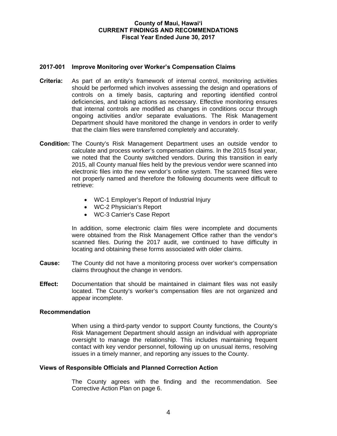### **County of Maui, Hawai'i CURRENT FINDINGS AND RECOMMENDATIONS Fiscal Year Ended June 30, 2017**

### **2017-001 Improve Monitoring over Worker's Compensation Claims**

- **Criteria:** As part of an entity's framework of internal control, monitoring activities should be performed which involves assessing the design and operations of controls on a timely basis, capturing and reporting identified control deficiencies, and taking actions as necessary. Effective monitoring ensures that internal controls are modified as changes in conditions occur through ongoing activities and/or separate evaluations. The Risk Management Department should have monitored the change in vendors in order to verify that the claim files were transferred completely and accurately.
- **Condition:** The County's Risk Management Department uses an outside vendor to calculate and process worker's compensation claims. In the 2015 fiscal year, we noted that the County switched vendors. During this transition in early 2015, all County manual files held by the previous vendor were scanned into electronic files into the new vendor's online system. The scanned files were not properly named and therefore the following documents were difficult to retrieve:
	- WC-1 Employer's Report of Industrial Injury
	- WC-2 Physician's Report
	- WC-3 Carrier's Case Report

In addition, some electronic claim files were incomplete and documents were obtained from the Risk Management Office rather than the vendor's scanned files. During the 2017 audit, we continued to have difficulty in locating and obtaining these forms associated with older claims.

- **Cause:** The County did not have a monitoring process over worker's compensation claims throughout the change in vendors.
- **Effect:** Documentation that should be maintained in claimant files was not easily located. The County's worker's compensation files are not organized and appear incomplete.

### **Recommendation**

When using a third-party vendor to support County functions, the County's Risk Management Department should assign an individual with appropriate oversight to manage the relationship. This includes maintaining frequent contact with key vendor personnel, following up on unusual items, resolving issues in a timely manner, and reporting any issues to the County.

### **Views of Responsible Officials and Planned Correction Action**

The County agrees with the finding and the recommendation. See Corrective Action Plan on page 6.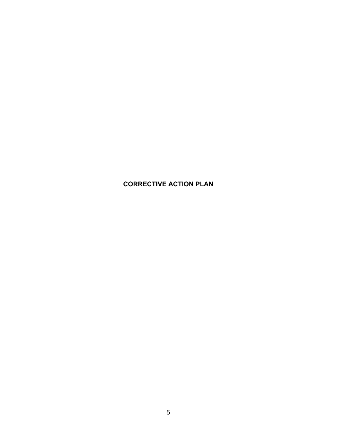# **CORRECTIVE ACTION PLAN**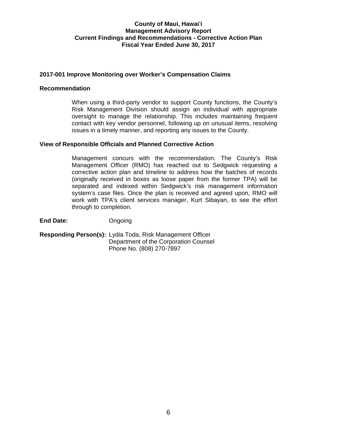### **County of Maui, Hawai**'**i Management Advisory Report Current Findings and Recommendations - Corrective Action Plan Fiscal Year Ended June 30, 2017**

### **2017-001 Improve Monitoring over Worker's Compensation Claims**

### **Recommendation**

When using a third-party vendor to support County functions, the County's Risk Management Division should assign an individual with appropriate oversight to manage the relationship. This includes maintaining frequent contact with key vendor personnel, following up on unusual items, resolving issues in a timely manner, and reporting any issues to the County.

### **View of Responsible Officials and Planned Corrective Action**

Management concurs with the recommendation. The County's Risk Management Officer (RMO) has reached out to Sedgwick requesting a corrective action plan and timeline to address how the batches of records (originally received in boxes as loose paper from the former TPA) will be separated and indexed within Sedgwick's risk management information system's case files. Once the plan is received and agreed upon, RMO will work with TPA's client services manager, Kurt Sibayan, to see the effort through to completion.

**End Date:** Ongoing

**Responding Person(s):** Lydia Toda, Risk Management Officer Department of the Corporation Counsel Phone No. (808) 270-7897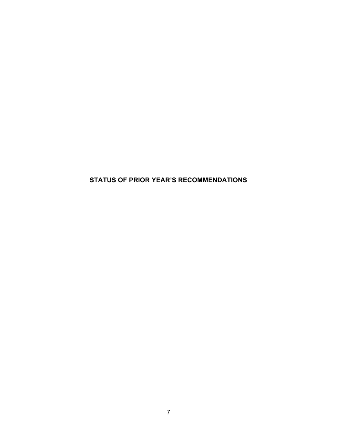**STATUS OF PRIOR YEAR'S RECOMMENDATIONS**